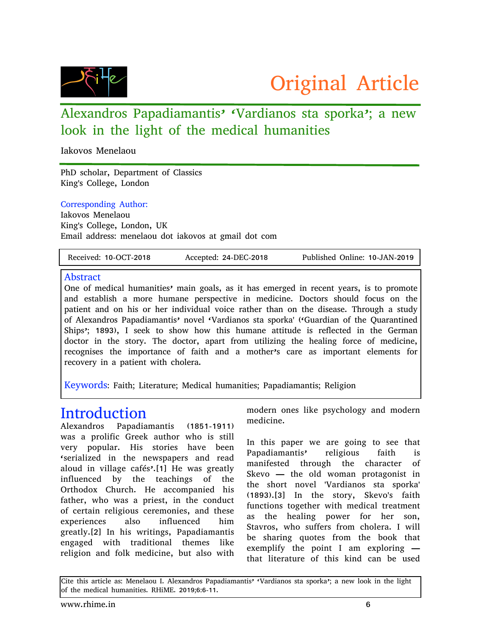

## Alexandros Papadiamantis' 'Vardianos sta sporka'; a new look in the light of the medical humanities

Iakovos Menelaou

PhD scholar, Department of Classics King's College, London

#### Corresponding Author:

Iakovos Menelaou King's College, London, UK Email address: menelaou dot iakovos at gmail dot com

#### Abstract

One of medical humanities' main goals, as it has emerged in recent years, is to promote and establish a more humane perspective in medicine. Doctors should focus on the patient and on his or her individual voice rather than on the disease. Through a study of Alexandros Papadiamantis' novel 'Vardianos sta sporka' ('Guardian of the Quarantined Ships'; 1893), I seek to show how this humane attitude is reflected in the German doctor in the story. The doctor, apart from utilizing the healing force of medicine, recognises the importance of faith and a mother's care as important elements for recovery in a patient with cholera.

Keywords: Faith; Literature; Medical humanities; Papadiamantis; Religion

### Introduction

Alexandros Papadiamantis (1851-1911) was a prolific Greek author who is still very popular. His stories have been 'serialized in the newspapers and read aloud in village cafés'.[1] He was greatly influenced by the teachings of the Orthodox Church. He accompanied his father, who was a priest, in the conduct of certain religious ceremonies, and these experiences also influenced him greatly.[2] In his writings, Papadiamantis engaged with traditional themes like religion and folk medicine, but also with

modern ones like psychology and modern medicine.

In this paper we are going to see that Papadiamantis' religious faith is manifested through the character of Skevo — the old woman protagonist in the short novel 'Vardianos sta sporka' (1893).[3] In the story, Skevo's faith functions together with medical treatment as the healing power for her son, Stavros, who suffers from cholera. I will be sharing quotes from the book that exemplify the point I am exploring that literature of this kind can be used

Cite this article as: Menelaou I. Alexandros Papadiamantis' 'Vardianos sta sporka'; a new look in the light of the medical humanities. RHiME. 2019;6:6-11.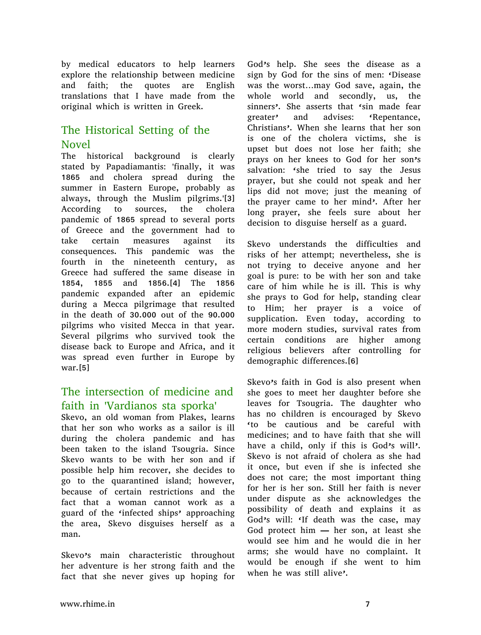by medical educators to help learners explore the relationship between medicine and faith; the quotes are English translations that I have made from the original which is written in Greek.

### The Historical Setting of the Novel

The historical background is clearly stated by Papadiamantis: 'finally, it was 1865 and cholera spread during the summer in Eastern Europe, probably as always, through the Muslim pilgrims.'[3] According to sources, the cholera pandemic of 1865 spread to several ports of Greece and the government had to take certain measures against its consequences. This pandemic was the fourth in the nineteenth century, as Greece had suffered the same disease in 1854, 1855 and 1856.[4] The 1856 pandemic expanded after an epidemic during a Mecca pilgrimage that resulted in the death of 30.000 out of the 90.000 pilgrims who visited Mecca in that year. Several pilgrims who survived took the disease back to Europe and Africa, and it was spread even further in Europe by war.[5]

#### The intersection of medicine and faith in 'Vardianos sta sporka'

Skevo, an old woman from Plakes, learns that her son who works as a sailor is ill during the cholera pandemic and has been taken to the island Tsougria. Since Skevo wants to be with her son and if possible help him recover, she decides to go to the quarantined island; however, because of certain restrictions and the fact that a woman cannot work as a guard of the 'infected ships' approaching the area, Skevo disguises herself as a man.

Skevo's main characteristic throughout her adventure is her strong faith and the fact that she never gives up hoping for

God's help. She sees the disease as a sign by God for the sins of men: 'Disease was the worst…may God save, again, the whole world and secondly, us, the sinners'. She asserts that 'sin made fear greater' and advises: 'Repentance, Christians'. When she learns that her son is one of the cholera victims, she is upset but does not lose her faith; she prays on her knees to God for her son's salvation: 'she tried to say the Jesus prayer, but she could not speak and her lips did not move; just the meaning of the prayer came to her mind'. After her long prayer, she feels sure about her decision to disguise herself as a guard.

Skevo understands the difficulties and risks of her attempt; nevertheless, she is not trying to deceive anyone and her goal is pure: to be with her son and take care of him while he is ill. This is why she prays to God for help, standing clear to Him; her prayer is a voice of supplication. Even today, according to more modern studies, survival rates from certain conditions are higher among religious believers after controlling for demographic differences.[6]

Skevo's faith in God is also present when she goes to meet her daughter before she leaves for Tsougria. The daughter who has no children is encouraged by Skevo 'to be cautious and be careful with medicines; and to have faith that she will have a child, only if this is God's will'. Skevo is not afraid of cholera as she had it once, but even if she is infected she does not care; the most important thing for her is her son. Still her faith is never under dispute as she acknowledges the possibility of death and explains it as God's will: 'If death was the case, may God protect him — her son, at least she would see him and he would die in her arms; she would have no complaint. It would be enough if she went to him when he was still alive'.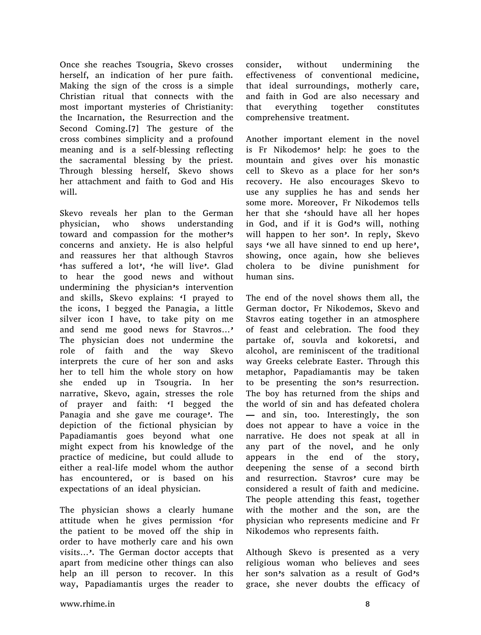Once she reaches Tsougria, Skevo crosses herself, an indication of her pure faith. Making the sign of the cross is a simple Christian ritual that connects with the most important mysteries of Christianity: the Incarnation, the Resurrection and the Second Coming.[7] The gesture of the cross combines simplicity and a profound meaning and is a self-blessing reflecting the sacramental blessing by the priest. Through blessing herself, Skevo shows her attachment and faith to God and His will.

Skevo reveals her plan to the German physician, who shows understanding toward and compassion for the mother's concerns and anxiety. He is also helpful and reassures her that although Stavros 'has suffered a lot', 'he will live'. Glad to hear the good news and without undermining the physician's intervention and skills, Skevo explains: 'I prayed to the icons, I begged the Panagia, a little silver icon I have, to take pity on me and send me good news for Stavros…' The physician does not undermine the role of faith and the way Skevo interprets the cure of her son and asks her to tell him the whole story on how she ended up in Tsougria. In her narrative, Skevo, again, stresses the role of prayer and faith: 'I begged the Panagia and she gave me courage'. The depiction of the fictional physician by Papadiamantis goes beyond what one might expect from his knowledge of the practice of medicine, but could allude to either a real-life model whom the author has encountered, or is based on his expectations of an ideal physician.

The physician shows a clearly humane attitude when he gives permission 'for the patient to be moved off the ship in order to have motherly care and his own visits…'. The German doctor accepts that apart from medicine other things can also help an ill person to recover. In this way, Papadiamantis urges the reader to

consider, without undermining the effectiveness of conventional medicine, that ideal surroundings, motherly care, and faith in God are also necessary and that everything together constitutes comprehensive treatment.

Another important element in the novel is Fr Nikodemos' help: he goes to the mountain and gives over his monastic cell to Skevo as a place for her son's recovery. He also encourages Skevo to use any supplies he has and sends her some more. Moreover, Fr Nikodemos tells her that she 'should have all her hopes in God, and if it is God's will, nothing will happen to her son<sup>2</sup>. In reply, Skevo says 'we all have sinned to end up here'. showing, once again, how she believes cholera to be divine punishment for human sins.

The end of the novel shows them all, the German doctor, Fr Nikodemos, Skevo and Stavros eating together in an atmosphere of feast and celebration. The food they partake of, souvla and kokoretsi, and alcohol, are reminiscent of the traditional way Greeks celebrate Easter. Through this metaphor, Papadiamantis may be taken to be presenting the son's resurrection. The boy has returned from the ships and the world of sin and has defeated cholera — and sin, too. Interestingly, the son does not appear to have a voice in the narrative. He does not speak at all in any part of the novel, and he only appears in the end of the story, deepening the sense of a second birth and resurrection. Stavros' cure may be considered a result of faith and medicine. The people attending this feast, together with the mother and the son, are the physician who represents medicine and Fr Nikodemos who represents faith.

Although Skevo is presented as a very religious woman who believes and sees her son's salvation as a result of God's grace, she never doubts the efficacy of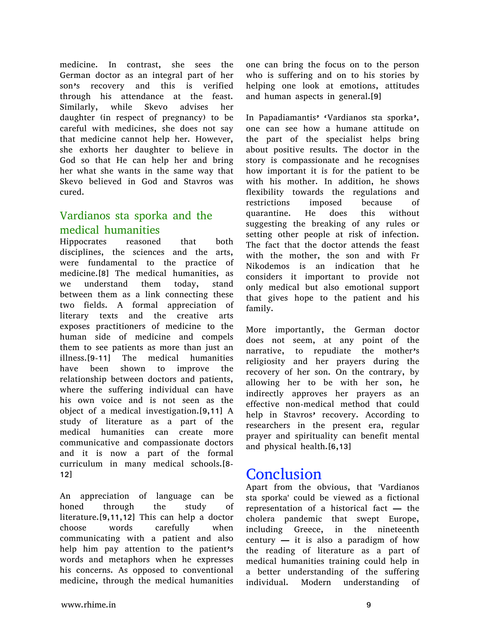medicine. In contrast, she sees the German doctor as an integral part of her son's recovery and this is verified through his attendance at the feast. Similarly, while Skevo advises her daughter (in respect of pregnancy) to be careful with medicines, she does not say that medicine cannot help her. However, she exhorts her daughter to believe in God so that He can help her and bring her what she wants in the same way that Skevo believed in God and Stavros was cured.

### Vardianos sta sporka and the medical humanities

Hippocrates reasoned that both disciplines, the sciences and the arts, were fundamental to the practice of medicine.[8] The medical humanities, as we understand them today, stand between them as a link connecting these two fields. A formal appreciation of literary texts and the creative arts exposes practitioners of medicine to the human side of medicine and compels them to see patients as more than just an illness.[9-11] The medical humanities have been shown to improve the relationship between doctors and patients, where the suffering individual can have his own voice and is not seen as the object of a medical investigation.[9,11] A study of literature as a part of the medical humanities can create more communicative and compassionate doctors and it is now a part of the formal curriculum in many medical schools.[8- 12]

An appreciation of language can be honed through the study of literature.[9,11,12] This can help a doctor choose words carefully when communicating with a patient and also help him pay attention to the patient's words and metaphors when he expresses his concerns. As opposed to conventional medicine, through the medical humanities

one can bring the focus on to the person who is suffering and on to his stories by helping one look at emotions, attitudes and human aspects in general.[9]

In Papadiamantis' 'Vardianos sta sporka', one can see how a humane attitude on the part of the specialist helps bring about positive results. The doctor in the story is compassionate and he recognises how important it is for the patient to be with his mother. In addition, he shows flexibility towards the regulations and restrictions imposed because of quarantine. He does this without suggesting the breaking of any rules or setting other people at risk of infection. The fact that the doctor attends the feast with the mother, the son and with Fr Nikodemos is an indication that he considers it important to provide not only medical but also emotional support that gives hope to the patient and his family.

More importantly, the German doctor does not seem, at any point of the narrative, to repudiate the mother's religiosity and her prayers during the recovery of her son. On the contrary, by allowing her to be with her son, he indirectly approves her prayers as an effective non-medical method that could help in Stavros' recovery. According to researchers in the present era, regular prayer and spirituality can benefit mental and physical health.[6,13]

## Conclusion

Apart from the obvious, that 'Vardianos sta sporka' could be viewed as a fictional representation of a historical fact — the cholera pandemic that swept Europe, including Greece, in the nineteenth century  $-$  it is also a paradigm of how the reading of literature as a part of medical humanities training could help in a better understanding of the suffering individual. Modern understanding of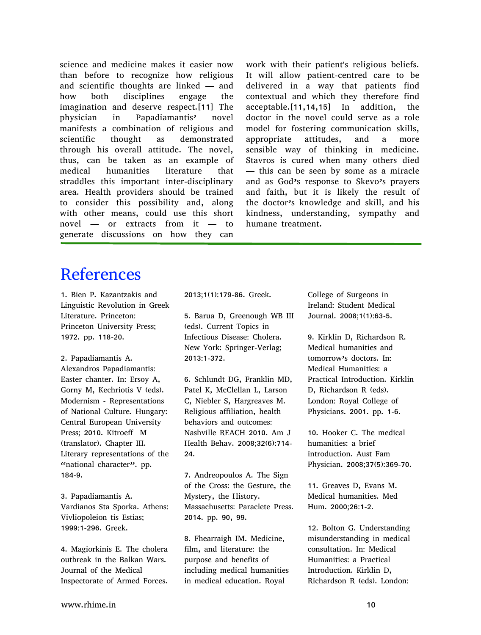science and medicine makes it easier now than before to recognize how religious and scientific thoughts are linked — and how both disciplines engage the imagination and deserve respect.[11] The physician in Papadiamantis' novel manifests a combination of religious and scientific thought as demonstrated through his overall attitude. The novel, thus, can be taken as an example of medical humanities literature that straddles this important inter-disciplinary area. Health providers should be trained to consider this possibility and, along with other means, could use this short novel — or extracts from it — to generate discussions on how they can

work with their patient's religious beliefs. It will allow patient-centred care to be delivered in a way that patients find contextual and which they therefore find acceptable.[11,14,15] In addition, the doctor in the novel could serve as a role model for fostering communication skills, appropriate attitudes, and a more sensible way of thinking in medicine. Stavros is cured when many others died — this can be seen by some as a miracle and as God's response to Skevo's prayers and faith, but it is likely the result of the doctor's knowledge and skill, and his kindness, understanding, sympathy and humane treatment.

# References

1. Bien P. Kazantzakis and Linguistic Revolution in Greek Literature. Princeton: Princeton University Press; 1972. pp. 118-20.

2. Papadiamantis A. Alexandros Papadiamantis: Easter chanter. In: Ersoy A, Gorny M, Kechriotis V (eds). Modernism - Representations of National Culture. Hungary: Central European University Press; 2010. Kitroeff M (translator). Chapter III. Literary representations of the "national character". pp. 184-9.

3. Papadiamantis A. Vardianos Sta Sporka. Athens: Vivliopoleion tis Estias; 1999:1-296. Greek.

4. Magiorkinis E. The cholera outbreak in the Balkan Wars. Journal of the Medical Inspectorate of Armed Forces.

2013;1(1):179-86. Greek.

5. Barua D, Greenough WB III (eds). Current Topics in Infectious Disease: Cholera. New York: Springer-Verlag; 2013:1-372.

6. Schlundt DG, Franklin MD, Patel K, McClellan L, Larson C, Niebler S, Hargreaves M. Religious affiliation, health behaviors and outcomes: Nashville REACH 2010. Am J Health Behav. 2008;32(6):714- 24.

7. Andreopoulos A. The Sign of the Cross: the Gesture, the Mystery, the History. Massachusetts: Paraclete Press. 2014. pp. 90, 99.

8. Fhearraigh IM. Medicine, film, and literature: the purpose and benefits of including medical humanities in medical education. Royal

College of Surgeons in Ireland: Student Medical Journal. 2008;1(1):63-5.

9. Kirklin D, Richardson R. Medical humanities and tomorrow's doctors. In: Medical Humanities: a Practical Introduction. Kirklin D, Richardson R (eds). London: Royal College of Physicians. 2001. pp. 1-6.

10. Hooker C. The medical humanities: a brief introduction. Aust Fam Physician. 2008;37(5):369-70.

11. Greaves D, Evans M. Medical humanities. Med Hum. 2000;26:1-2.

12. Bolton G. Understanding misunderstanding in medical consultation. In: Medical Humanities: a Practical Introduction. Kirklin D, Richardson R (eds). London: